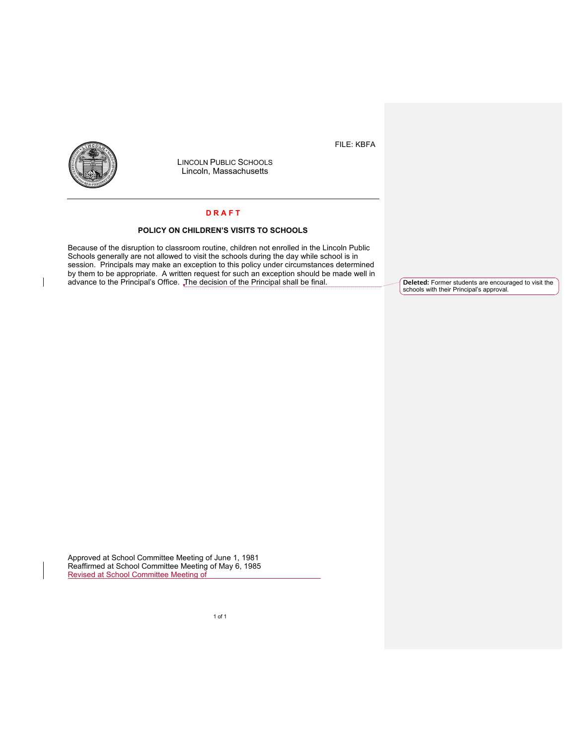FILE: KBFA



LINCOLN PUBLIC SCHOOLS Lincoln, Massachusetts

## **D R A F T**

## **POLICY ON CHILDREN'S VISITS TO SCHOOLS**

Because of the disruption to classroom routine, children not enrolled in the Lincoln Public Schools generally are not allowed to visit the schools during the day while school is in session. Principals may make an exception to this policy under circumstances determined by them to be appropriate. A written request for such an exception should be made well in advance to the Principal's Office. The decision of the Principal shall be final.

**Deleted:** Former students are encouraged to visit the schools with their Principal's approval.

Approved at School Committee Meeting of June 1, 1981 Reaffirmed at School Committee Meeting of May 6, 1985 Revised at School Committee Meeting of